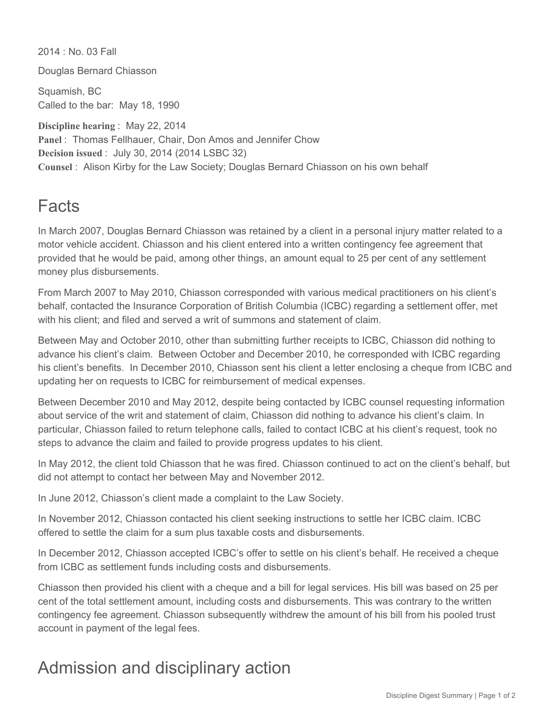2014 : No. 03 Fall

Douglas Bernard Chiasson

Squamish, BC Called to the bar: May 18, 1990

**Discipline hearing** : May 22, 2014 **Panel** : Thomas Fellhauer, Chair, Don Amos and Jennifer Chow **Decision issued** : July 30, 2014 (2014 LSBC 32) **Counsel** : Alison Kirby for the Law Society; Douglas Bernard Chiasson on his own behalf

## Facts

In March 2007, Douglas Bernard Chiasson was retained by a client in a personal injury matter related to a motor vehicle accident. Chiasson and his client entered into a written contingency fee agreement that provided that he would be paid, among other things, an amount equal to 25 per cent of any settlement money plus disbursements.

From March 2007 to May 2010, Chiasson corresponded with various medical practitioners on his client's behalf, contacted the Insurance Corporation of British Columbia (ICBC) regarding a settlement offer, met with his client; and filed and served a writ of summons and statement of claim.

Between May and October 2010, other than submitting further receipts to ICBC, Chiasson did nothing to advance his client's claim. Between October and December 2010, he corresponded with ICBC regarding his client's benefits. In December 2010, Chiasson sent his client a letter enclosing a cheque from ICBC and updating her on requests to ICBC for reimbursement of medical expenses.

Between December 2010 and May 2012, despite being contacted by ICBC counsel requesting information about service of the writ and statement of claim, Chiasson did nothing to advance his client's claim. In particular, Chiasson failed to return telephone calls, failed to contact ICBC at his client's request, took no steps to advance the claim and failed to provide progress updates to his client.

In May 2012, the client told Chiasson that he was fired. Chiasson continued to act on the client's behalf, but did not attempt to contact her between May and November 2012.

In June 2012, Chiasson's client made a complaint to the Law Society.

In November 2012, Chiasson contacted his client seeking instructions to settle her ICBC claim. ICBC offered to settle the claim for a sum plus taxable costs and disbursements.

In December 2012, Chiasson accepted ICBC's offer to settle on his client's behalf. He received a cheque from ICBC as settlement funds including costs and disbursements.

Chiasson then provided his client with a cheque and a bill for legal services. His bill was based on 25 per cent of the total settlement amount, including costs and disbursements. This was contrary to the written contingency fee agreement. Chiasson subsequently withdrew the amount of his bill from his pooled trust account in payment of the legal fees.

## Admission and disciplinary action